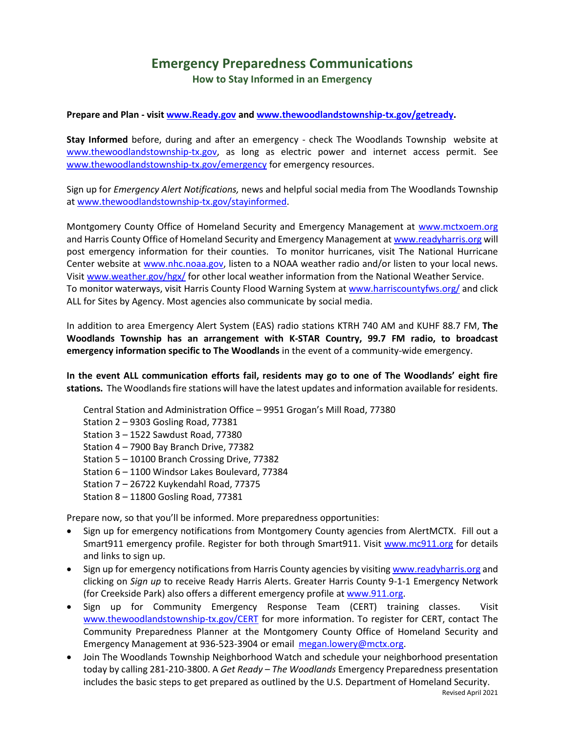## **Emergency Preparedness Communications How to Stay Informed in an Emergency**

**Prepare and Plan - visit [www.Ready.gov](http://www.ready.gov/) and [www.thewoodlandstownship-tx.gov/getready.](http://www.thewoodlandstownship-tx.gov/getready)**

**Stay Informed** before, during and after an emergency - check The Woodlands Township website at [www.thewoodlandstownship-tx.gov,](http://www.thewoodlandstownship-tx.gov/) as long as electric power and internet access permit. See [www.thewoodlandstownship-tx.gov/emergency](http://www.thewoodlandstownship-tx.gov/emergency) for emergency resources.

Sign up for *Emergency Alert Notifications,* news and helpful social media from The Woodlands Township a[t www.thewoodlandstownship-tx.gov/stayinformed.](http://www.thewoodlandstownship-tx.gov/stayinformed)

Montgomery County Office of Homeland Security and Emergency Management at [www.mctxoem.org](http://www.mctxoem.org/) and Harris County Office of Homeland Security and Emergency Management a[t www.readyharris.org](http://www.readyharris.org/) will post emergency information for their counties. To monitor hurricanes, visit The National Hurricane Center website at [www.nhc.noaa.gov,](http://www.nhc.noaa.gov/) listen to a NOAA weather radio and/or listen to your local news. Visit [www.weather.gov/hgx/](http://www.weather.gov/hgx/) for other local weather information from the National Weather Service. To monitor waterways, visit Harris County Flood Warning System a[t www.harriscountyfws.org/](http://www.harriscountyfws.org/) and click ALL for Sites by Agency. Most agencies also communicate by social media.

In addition to area Emergency Alert System (EAS) radio stations KTRH 740 AM and KUHF 88.7 FM, **The Woodlands Township has an arrangement with K-STAR Country, 99.7 FM radio, to broadcast emergency information specific to The Woodlands** in the event of a community-wide emergency.

**In the event ALL communication efforts fail, residents may go to one of The Woodlands' eight fire stations.** The Woodlands fire stations will have the latest updates and information available for residents.

- Central Station and Administration Office 9951 Grogan's Mill Road, 77380
- Station 2 9303 Gosling Road, 77381
- Station 3 1522 Sawdust Road, 77380
- Station 4 7900 Bay Branch Drive, 77382
- Station 5 10100 Branch Crossing Drive, 77382
- Station 6 1100 Windsor Lakes Boulevard, 77384
- Station 7 26722 Kuykendahl Road, 77375
- Station 8 11800 Gosling Road, 77381

Prepare now, so that you'll be informed. More preparedness opportunities:

- Sign up for emergency notifications from Montgomery County agencies from AlertMCTX. Fill out a Smart911 emergency profile. Register for both through Smart911. Visit [www.mc911.org](http://www.mc911.org/) for details and links to sign up.
- Sign up for emergency notifications from Harris County agencies by visiting [www.readyharris.org](http://www.readyharris.org/) and clicking on *Sign up* to receive Ready Harris Alerts. Greater Harris County 9-1-1 Emergency Network (for Creekside Park) also offers a different emergency profile a[t www.911.org.](http://www.911.org/)
- Sign up for Community Emergency Response Team (CERT) training classes. Visit www.thewoodlandstownship-tx.gov/CERT for more information. To register for CERT, contact The Community Preparedness Planner at the Montgomery County Office of Homeland Security and Emergency Management at 936-523-3904 or email [megan.lowery@mctx.org.](mailto:megan.lowery@mctx.org)
- Join The Woodlands Township Neighborhood Watch and schedule your neighborhood presentation today by calling 281-210-3800. A *Get Ready – The Woodlands* Emergency Preparedness presentation includes the basic steps to get prepared as outlined by the U.S. Department of Homeland Security.